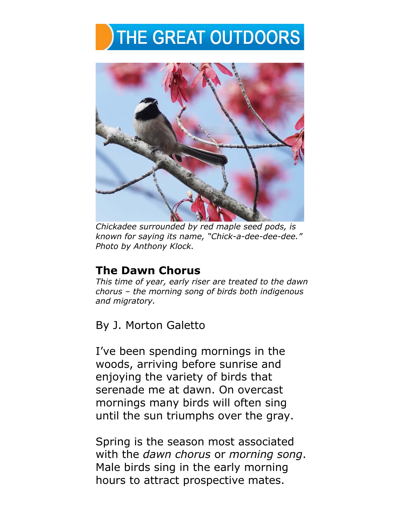## THE GREAT OUTDOORS



*Chickadee surrounded by red maple seed pods, is known for saying its name, "Chick-a-dee-dee-dee." Photo by Anthony Klock.*

## **The Dawn Chorus**

*This time of year, early riser are treated to the dawn chorus – the morning song of birds both indigenous and migratory.*

By J. Morton Galetto

I've been spending mornings in the woods, arriving before sunrise and enjoying the variety of birds that serenade me at dawn. On overcast mornings many birds will often sing until the sun triumphs over the gray.

Spring is the season most associated with the *dawn chorus* or *morning song*. Male birds sing in the early morning hours to attract prospective mates.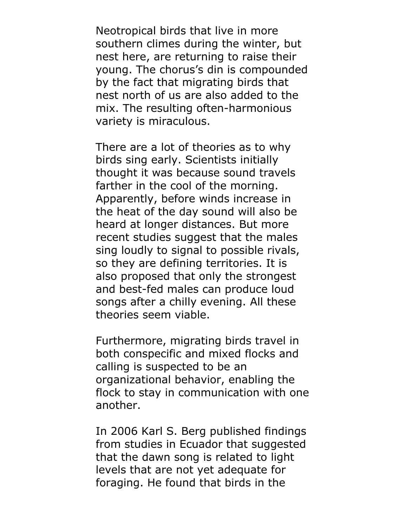Neotropical birds that live in more southern climes during the winter, but nest here, are returning to raise their young. The chorus's din is compounded by the fact that migrating birds that nest north of us are also added to the mix. The resulting often-harmonious variety is miraculous.

There are a lot of theories as to why birds sing early. Scientists initially thought it was because sound travels farther in the cool of the morning. Apparently, before winds increase in the heat of the day sound will also be heard at longer distances. But more recent studies suggest that the males sing loudly to signal to possible rivals, so they are defining territories. It is also proposed that only the strongest and best-fed males can produce loud songs after a chilly evening. All these theories seem viable.

Furthermore, migrating birds travel in both conspecific and mixed flocks and calling is suspected to be an organizational behavior, enabling the flock to stay in communication with one another.

In 2006 Karl S. Berg published findings from studies in Ecuador that suggested that the dawn song is related to light levels that are not yet adequate for foraging. He found that birds in the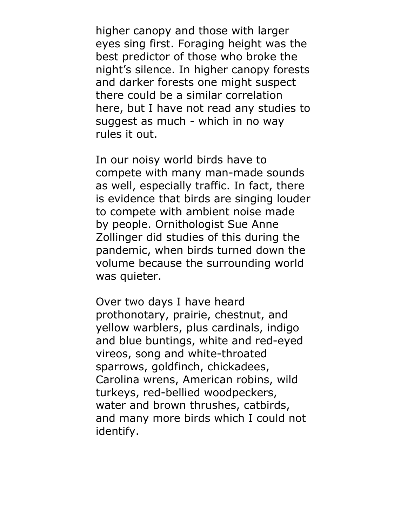higher canopy and those with larger eyes sing first. Foraging height was the best predictor of those who broke the night's silence. In higher canopy forests and darker forests one might suspect there could be a similar correlation here, but I have not read any studies to suggest as much - which in no way rules it out.

In our noisy world birds have to compete with many man-made sounds as well, especially traffic. In fact, there is evidence that birds are singing louder to compete with ambient noise made by people. Ornithologist Sue Anne Zollinger did studies of this during the pandemic, when birds turned down the volume because the surrounding world was quieter.

Over two days I have heard prothonotary, prairie, chestnut, and yellow warblers, plus cardinals, indigo and blue buntings, white and red-eyed vireos, song and white-throated sparrows, goldfinch, chickadees, Carolina wrens, American robins, wild turkeys, red-bellied woodpeckers, water and brown thrushes, catbirds, and many more birds which I could not identify.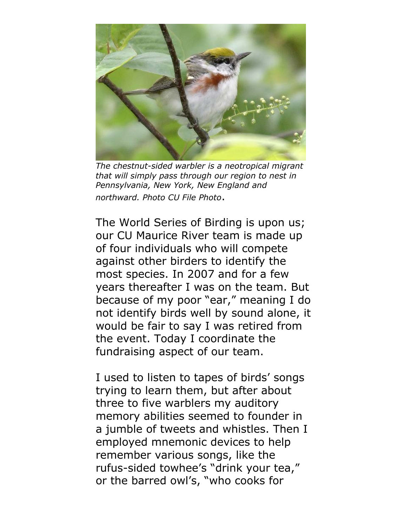

*The chestnut-sided warbler is a neotropical migrant that will simply pass through our region to nest in Pennsylvania, New York, New England and northward. Photo CU File Photo*.

The World Series of Birding is upon us; our CU Maurice River team is made up of four individuals who will compete against other birders to identify the most species. In 2007 and for a few years thereafter I was on the team. But because of my poor "ear," meaning I do not identify birds well by sound alone, it would be fair to say I was retired from the event. Today I coordinate the fundraising aspect of our team.

I used to listen to tapes of birds' songs trying to learn them, but after about three to five warblers my auditory memory abilities seemed to founder in a jumble of tweets and whistles. Then I employed mnemonic devices to help remember various songs, like the rufus-sided towhee's "drink your tea," or the barred owl's, "who cooks for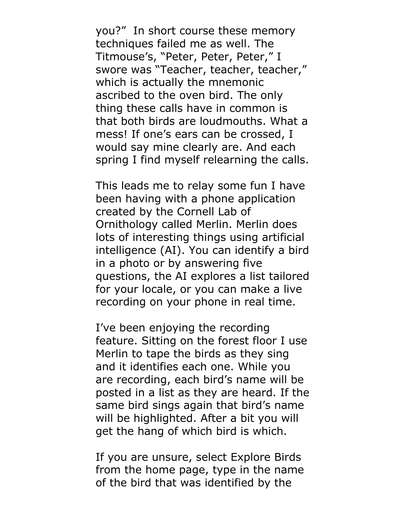you?" In short course these memory techniques failed me as well. The Titmouse's, "Peter, Peter, Peter," I swore was "Teacher, teacher, teacher," which is actually the mnemonic ascribed to the oven bird. The only thing these calls have in common is that both birds are loudmouths. What a mess! If one's ears can be crossed, I would say mine clearly are. And each spring I find myself relearning the calls.

This leads me to relay some fun I have been having with a phone application created by the Cornell Lab of Ornithology called Merlin. Merlin does lots of interesting things using artificial intelligence (AI). You can identify a bird in a photo or by answering five questions, the AI explores a list tailored for your locale, or you can make a live recording on your phone in real time.

I've been enjoying the recording feature. Sitting on the forest floor I use Merlin to tape the birds as they sing and it identifies each one. While you are recording, each bird's name will be posted in a list as they are heard. If the same bird sings again that bird's name will be highlighted. After a bit you will get the hang of which bird is which.

If you are unsure, select Explore Birds from the home page, type in the name of the bird that was identified by the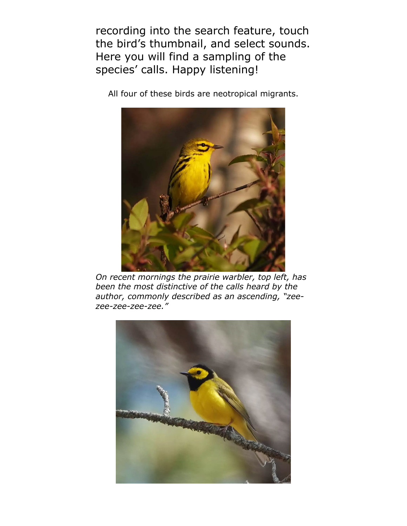recording into the search feature, touch the bird's thumbnail, and select sounds. Here you will find a sampling of the species' calls. Happy listening!



All four of these birds are neotropical migrants.

*On recent mornings the prairie warbler, top left, has been the most distinctive of the calls heard by the author, commonly described as an ascending, "zeezee-zee-zee-zee."*

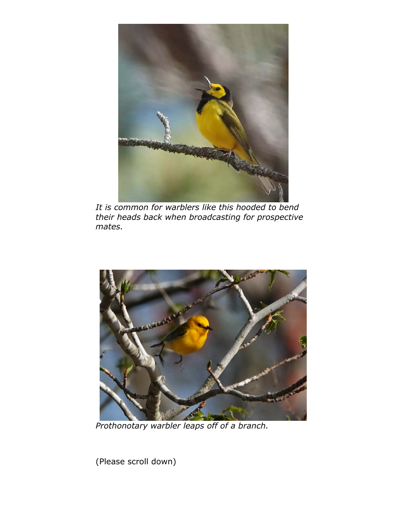

*It is common for warblers like this hooded to bend their heads back when broadcasting for prospective mates.*



*Prothonotary warbler leaps off of a branch.*

(Please scroll down)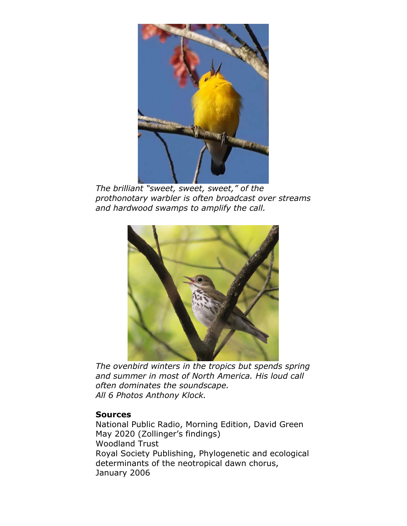

*The brilliant "sweet, sweet, sweet," of the prothonotary warbler is often broadcast over streams and hardwood swamps to amplify the call.*



*The ovenbird winters in the tropics but spends spring and summer in most of North America. His loud call often dominates the soundscape. All 6 Photos Anthony Klock.*

## **Sources**

National Public Radio, Morning Edition, David Green May 2020 (Zollinger's findings) Woodland Trust Royal Society Publishing, Phylogenetic and ecological determinants of the neotropical dawn chorus, January 2006